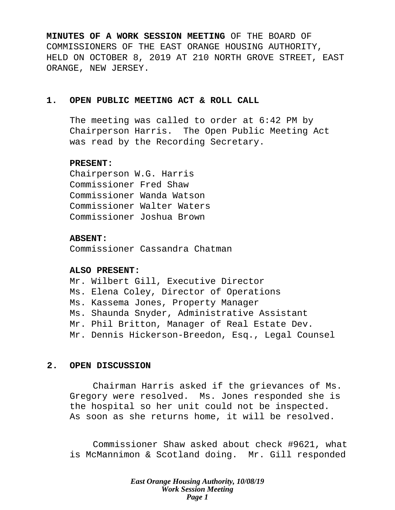**MINUTES OF A WORK SESSION MEETING** OF THE BOARD OF COMMISSIONERS OF THE EAST ORANGE HOUSING AUTHORITY, HELD ON OCTOBER 8, 2019 AT 210 NORTH GROVE STREET, EAST ORANGE, NEW JERSEY.

## **1. OPEN PUBLIC MEETING ACT & ROLL CALL**

The meeting was called to order at 6:42 PM by Chairperson Harris. The Open Public Meeting Act was read by the Recording Secretary.

### **PRESENT:**

Chairperson W.G. Harris Commissioner Fred Shaw Commissioner Wanda Watson Commissioner Walter Waters Commissioner Joshua Brown

### **ABSENT:**

Commissioner Cassandra Chatman

### **ALSO PRESENT:**

Mr. Wilbert Gill, Executive Director Ms. Elena Coley, Director of Operations Ms. Kassema Jones, Property Manager Ms. Shaunda Snyder, Administrative Assistant Mr. Phil Britton, Manager of Real Estate Dev. Mr. Dennis Hickerson-Breedon, Esq., Legal Counsel

### **2. OPEN DISCUSSION**

Chairman Harris asked if the grievances of Ms. Gregory were resolved. Ms. Jones responded she is the hospital so her unit could not be inspected. As soon as she returns home, it will be resolved.

Commissioner Shaw asked about check #9621, what is McMannimon & Scotland doing. Mr. Gill responded

> *East Orange Housing Authority, 10/08/19 Work Session Meeting Page 1*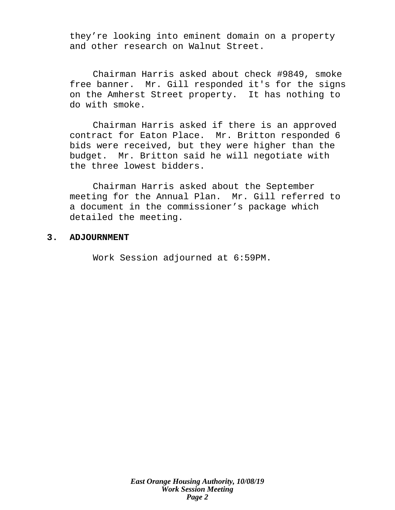they're looking into eminent domain on a property and other research on Walnut Street.

Chairman Harris asked about check #9849, smoke free banner. Mr. Gill responded it's for the signs on the Amherst Street property. It has nothing to do with smoke.

Chairman Harris asked if there is an approved contract for Eaton Place. Mr. Britton responded 6 bids were received, but they were higher than the budget. Mr. Britton said he will negotiate with the three lowest bidders.

Chairman Harris asked about the September meeting for the Annual Plan. Mr. Gill referred to a document in the commissioner's package which detailed the meeting.

### **3. ADJOURNMENT**

Work Session adjourned at 6:59PM.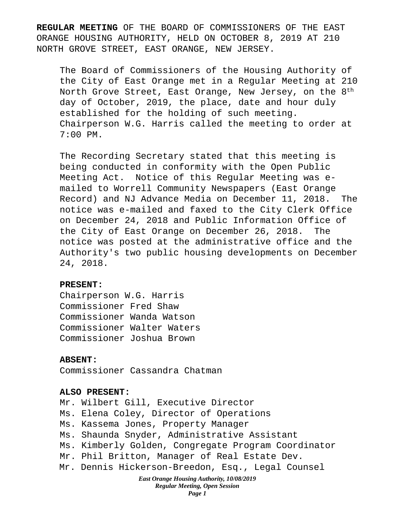**REGULAR MEETING** OF THE BOARD OF COMMISSIONERS OF THE EAST ORANGE HOUSING AUTHORITY, HELD ON OCTOBER 8, 2019 AT 210 NORTH GROVE STREET, EAST ORANGE, NEW JERSEY.

The Board of Commissioners of the Housing Authority of the City of East Orange met in a Regular Meeting at 210 North Grove Street, East Orange, New Jersey, on the  $8<sup>th</sup>$ day of October, 2019, the place, date and hour duly established for the holding of such meeting. Chairperson W.G. Harris called the meeting to order at 7:00 PM.

The Recording Secretary stated that this meeting is being conducted in conformity with the Open Public Meeting Act. Notice of this Regular Meeting was emailed to Worrell Community Newspapers (East Orange Record) and NJ Advance Media on December 11, 2018. The notice was e-mailed and faxed to the City Clerk Office on December 24, 2018 and Public Information Office of the City of East Orange on December 26, 2018. The notice was posted at the administrative office and the Authority's two public housing developments on December 24, 2018.

### **PRESENT:**

Chairperson W.G. Harris Commissioner Fred Shaw Commissioner Wanda Watson Commissioner Walter Waters Commissioner Joshua Brown

### **ABSENT:**

Commissioner Cassandra Chatman

### **ALSO PRESENT:**

Mr. Wilbert Gill, Executive Director Ms. Elena Coley, Director of Operations Ms. Kassema Jones, Property Manager Ms. Shaunda Snyder, Administrative Assistant Ms. Kimberly Golden, Congregate Program Coordinator Mr. Phil Britton, Manager of Real Estate Dev. Mr. Dennis Hickerson-Breedon, Esq., Legal Counsel

#### *East Orange Housing Authority, 10/08/2019 Regular Meeting, Open Session Page 1*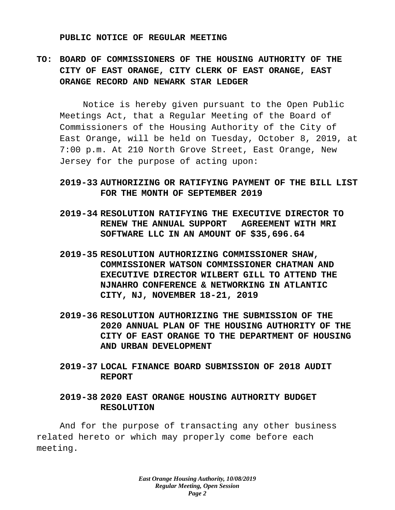#### **PUBLIC NOTICE OF REGULAR MEETING**

# **TO: BOARD OF COMMISSIONERS OF THE HOUSING AUTHORITY OF THE CITY OF EAST ORANGE, CITY CLERK OF EAST ORANGE, EAST ORANGE RECORD AND NEWARK STAR LEDGER**

Notice is hereby given pursuant to the Open Public Meetings Act, that a Regular Meeting of the Board of Commissioners of the Housing Authority of the City of East Orange, will be held on Tuesday, October 8, 2019, at 7:00 p.m. At 210 North Grove Street, East Orange, New Jersey for the purpose of acting upon:

# **2019-33 AUTHORIZING OR RATIFYING PAYMENT OF THE BILL LIST FOR THE MONTH OF SEPTEMBER 2019**

- **2019-34 RESOLUTION RATIFYING THE EXECUTIVE DIRECTOR TO RENEW THE ANNUAL SUPPORT AGREEMENT WITH MRI SOFTWARE LLC IN AN AMOUNT OF \$35,696.64**
- **2019-35 RESOLUTION AUTHORIZING COMMISSIONER SHAW, COMMISSIONER WATSON COMMISSIONER CHATMAN AND EXECUTIVE DIRECTOR WILBERT GILL TO ATTEND THE NJNAHRO CONFERENCE & NETWORKING IN ATLANTIC CITY, NJ, NOVEMBER 18-21, 2019**
- **2019-36 RESOLUTION AUTHORIZING THE SUBMISSION OF THE 2020 ANNUAL PLAN OF THE HOUSING AUTHORITY OF THE CITY OF EAST ORANGE TO THE DEPARTMENT OF HOUSING AND URBAN DEVELOPMENT**
- **2019-37 LOCAL FINANCE BOARD SUBMISSION OF 2018 AUDIT REPORT**

# **2019-38 2020 EAST ORANGE HOUSING AUTHORITY BUDGET RESOLUTION**

And for the purpose of transacting any other business related hereto or which may properly come before each meeting.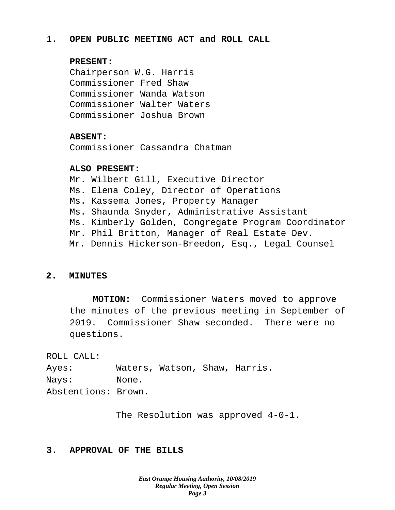# 1. **OPEN PUBLIC MEETING ACT and ROLL CALL**

# **PRESENT:**

Chairperson W.G. Harris Commissioner Fred Shaw Commissioner Wanda Watson Commissioner Walter Waters Commissioner Joshua Brown

# **ABSENT:**

Commissioner Cassandra Chatman

## **ALSO PRESENT:**

Mr. Wilbert Gill, Executive Director Ms. Elena Coley, Director of Operations Ms. Kassema Jones, Property Manager Ms. Shaunda Snyder, Administrative Assistant Ms. Kimberly Golden, Congregate Program Coordinator Mr. Phil Britton, Manager of Real Estate Dev. Mr. Dennis Hickerson-Breedon, Esq., Legal Counsel

# **2. MINUTES**

**MOTION:** Commissioner Waters moved to approve the minutes of the previous meeting in September of 2019. Commissioner Shaw seconded. There were no questions.

ROLL CALL:

Ayes: Waters, Watson, Shaw, Harris. Nays: None. Abstentions: Brown.

The Resolution was approved 4-0-1.

# **3. APPROVAL OF THE BILLS**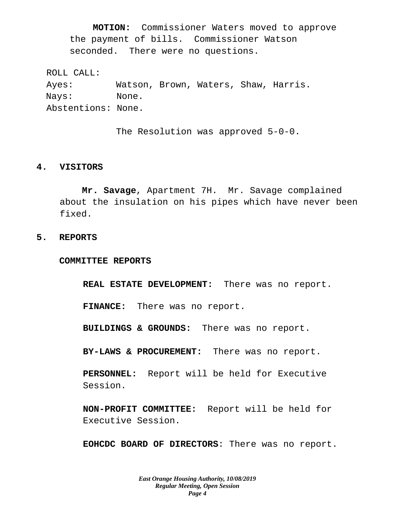**MOTION:** Commissioner Waters moved to approve the payment of bills. Commissioner Watson seconded. There were no questions.

ROLL CALL: Ayes: Watson, Brown, Waters, Shaw, Harris. Nays: None. Abstentions: None.

The Resolution was approved 5-0-0.

### **4. VISITORS**

**Mr. Savage**, Apartment 7H. Mr. Savage complained about the insulation on his pipes which have never been fixed.

### **5. REPORTS**

**COMMITTEE REPORTS**

**REAL ESTATE DEVELOPMENT:** There was no report.

**FINANCE:** There was no report.

**BUILDINGS & GROUNDS:** There was no report.

**BY-LAWS & PROCUREMENT:** There was no report.

**PERSONNEL:** Report will be held for Executive Session.

**NON-PROFIT COMMITTEE:** Report will be held for Executive Session.

**EOHCDC BOARD OF DIRECTORS**: There was no report.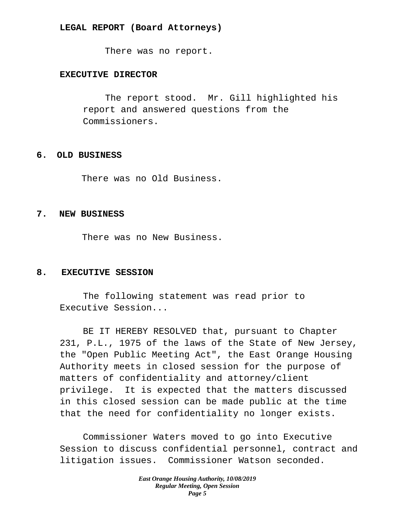### **LEGAL REPORT (Board Attorneys)**

There was no report.

# **EXECUTIVE DIRECTOR**

The report stood. Mr. Gill highlighted his report and answered questions from the Commissioners.

#### **6. OLD BUSINESS**

There was no Old Business.

### **7. NEW BUSINESS**

There was no New Business.

### **8. EXECUTIVE SESSION**

The following statement was read prior to Executive Session...

BE IT HEREBY RESOLVED that, pursuant to Chapter 231, P.L., 1975 of the laws of the State of New Jersey, the "Open Public Meeting Act", the East Orange Housing Authority meets in closed session for the purpose of matters of confidentiality and attorney/client privilege. It is expected that the matters discussed in this closed session can be made public at the time that the need for confidentiality no longer exists.

Commissioner Waters moved to go into Executive Session to discuss confidential personnel, contract and litigation issues. Commissioner Watson seconded.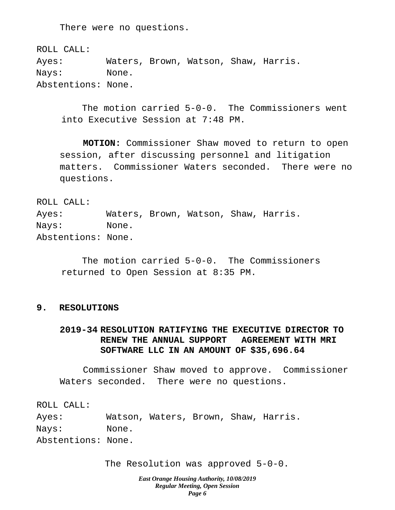There were no questions.

ROLL CALL: Ayes: Waters, Brown, Watson, Shaw, Harris. Nays: None. Abstentions: None.

The motion carried 5-0-0. The Commissioners went into Executive Session at 7:48 PM.

**MOTION:** Commissioner Shaw moved to return to open session, after discussing personnel and litigation matters. Commissioner Waters seconded. There were no questions.

ROLL CALL:

Ayes: Waters, Brown, Watson, Shaw, Harris. Nays: None. Abstentions: None.

The motion carried 5-0-0. The Commissioners returned to Open Session at 8:35 PM.

### **9. RESOLUTIONS**

# **2019-34 RESOLUTION RATIFYING THE EXECUTIVE DIRECTOR TO RENEW THE ANNUAL SUPPORT AGREEMENT WITH MRI SOFTWARE LLC IN AN AMOUNT OF \$35,696.64**

Commissioner Shaw moved to approve. Commissioner Waters seconded. There were no questions.

ROLL CALL: Ayes: Watson, Waters, Brown, Shaw, Harris. Nays: None. Abstentions: None.

The Resolution was approved 5-0-0.

*East Orange Housing Authority, 10/08/2019 Regular Meeting, Open Session Page 6*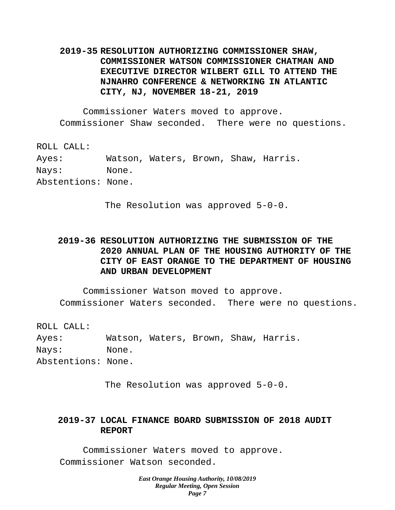# **2019-35 RESOLUTION AUTHORIZING COMMISSIONER SHAW, COMMISSIONER WATSON COMMISSIONER CHATMAN AND EXECUTIVE DIRECTOR WILBERT GILL TO ATTEND THE NJNAHRO CONFERENCE & NETWORKING IN ATLANTIC CITY, NJ, NOVEMBER 18-21, 2019**

Commissioner Waters moved to approve. Commissioner Shaw seconded. There were no questions.

ROLL CALL: Ayes: Watson, Waters, Brown, Shaw, Harris. Nays: None. Abstentions: None.

The Resolution was approved 5-0-0.

# **2019-36 RESOLUTION AUTHORIZING THE SUBMISSION OF THE 2020 ANNUAL PLAN OF THE HOUSING AUTHORITY OF THE CITY OF EAST ORANGE TO THE DEPARTMENT OF HOUSING AND URBAN DEVELOPMENT**

Commissioner Watson moved to approve. Commissioner Waters seconded. There were no questions.

ROLL CALL: Ayes: Watson, Waters, Brown, Shaw, Harris. Nays: None. Abstentions: None.

The Resolution was approved 5-0-0.

# **2019-37 LOCAL FINANCE BOARD SUBMISSION OF 2018 AUDIT REPORT**

Commissioner Waters moved to approve. Commissioner Watson seconded.